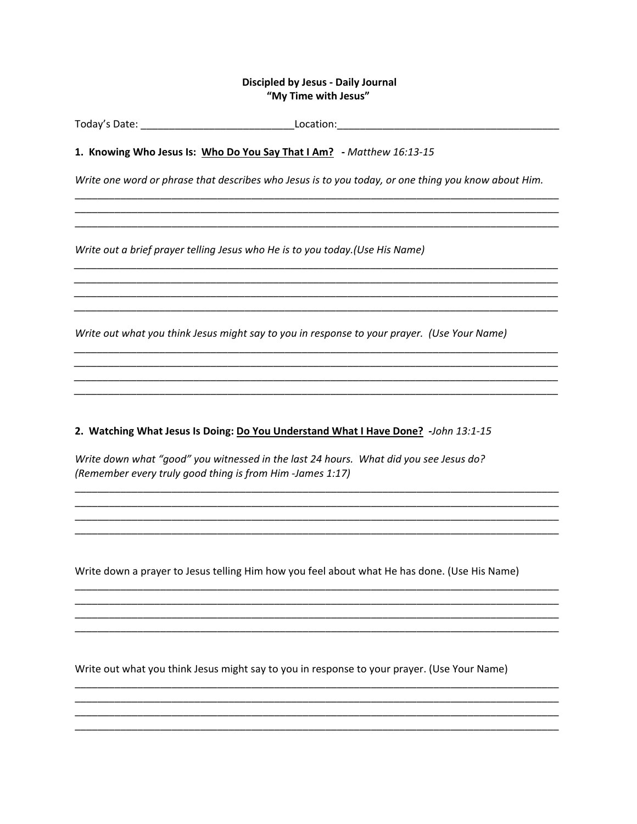## **Discipled by Jesus - Daily Journal** "My Time with Jesus"

1. Knowing Who Jesus Is: Who Do You Say That I Am? - Matthew 16:13-15

Write one word or phrase that describes who Jesus is to you today, or one thing you know about Him.

Write out a brief prayer telling Jesus who He is to you today. (Use His Name)

Write out what you think Jesus might say to you in response to your prayer. (Use Your Name)

2. Watching What Jesus Is Doing: Do You Understand What I Have Done? -John 13:1-15

Write down what "good" you witnessed in the last 24 hours. What did you see Jesus do? (Remember every truly good thing is from Him -James 1:17)

Write down a prayer to Jesus telling Him how you feel about what He has done. (Use His Name)

Write out what you think Jesus might say to you in response to your prayer. (Use Your Name)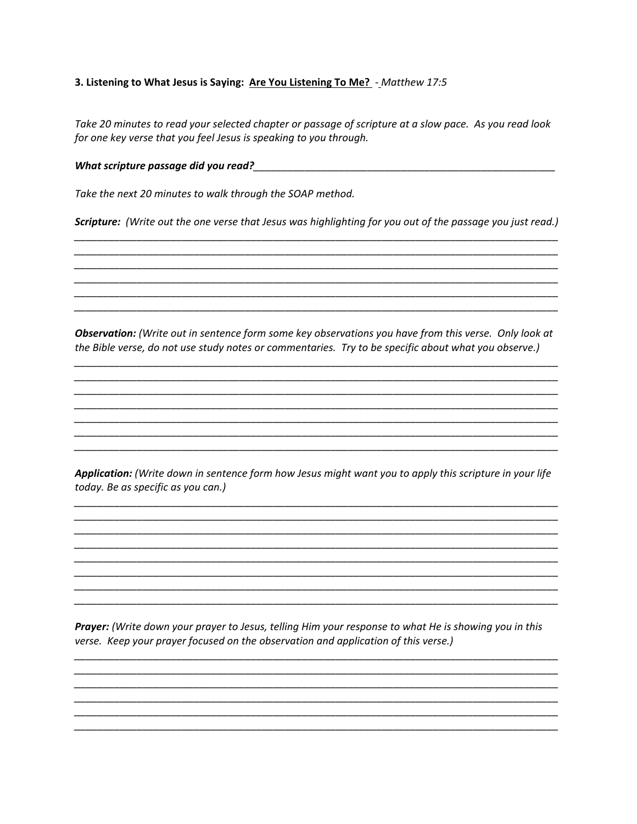## 3. Listening to What Jesus is Saying: Are You Listening To Me? - Matthew 17:5

Take 20 minutes to read your selected chapter or passage of scripture at a slow pace. As you read look for one key verse that you feel Jesus is speaking to you through.

Take the next 20 minutes to walk through the SOAP method.

Scripture: (Write out the one verse that Jesus was highlighting for you out of the passage you just read.)

Observation: (Write out in sentence form some key observations you have from this verse. Only look at the Bible verse, do not use study notes or commentaries. Try to be specific about what you observe.)

Application: (Write down in sentence form how Jesus might want you to apply this scripture in your life today. Be as specific as you can.)

Prayer: (Write down your prayer to Jesus, telling Him your response to what He is showing you in this verse. Keep your prayer focused on the observation and application of this verse.)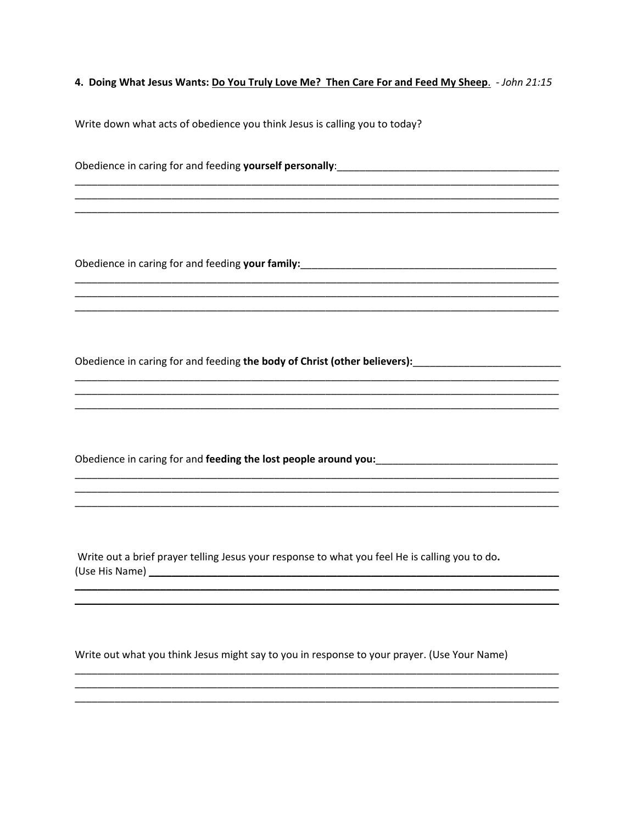4. Doing What Jesus Wants: Do You Truly Love Me? Then Care For and Feed My Sheep. - John 21:15

Write down what acts of obedience you think Jesus is calling you to today?

Obedience in caring for and feeding yourself personally:<br>
<u>Decis and the contract of the contract of the contract of the contract of the contract of the contract of the contract of the contract of the contract of the contr</u>

Obedience in caring for and feeding the body of Christ (other believers):

Obedience in caring for and feeding the lost people around you:

Write out a brief prayer telling Jesus your response to what you feel He is calling you to do. 

Write out what you think Jesus might say to you in response to your prayer. (Use Your Name)